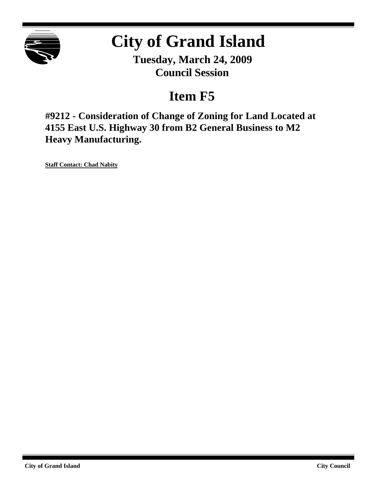

## **City of Grand Island**

**Tuesday, March 24, 2009 Council Session**

## **Item F5**

**#9212 - Consideration of Change of Zoning for Land Located at 4155 East U.S. Highway 30 from B2 General Business to M2 Heavy Manufacturing.**

**Staff Contact: Chad Nabity**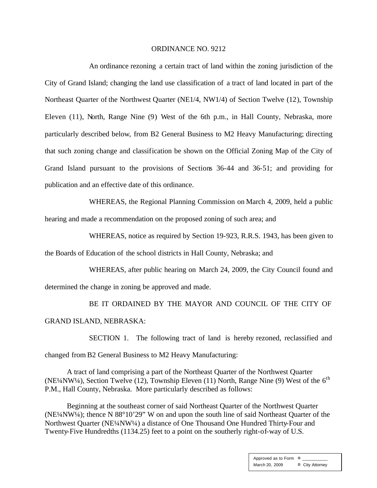## ORDINANCE NO. 9212

An ordinance rezoning a certain tract of land within the zoning jurisdiction of the City of Grand Island; changing the land use classification of a tract of land located in part of the Northeast Quarter of the Northwest Quarter (NE1/4, NW1/4) of Section Twelve (12), Township Eleven (11), North, Range Nine (9) West of the 6th p.m., in Hall County, Nebraska, more particularly described below, from B2 General Business to M2 Heavy Manufacturing; directing that such zoning change and classification be shown on the Official Zoning Map of the City of Grand Island pursuant to the provisions of Sections 36-44 and 36-51; and providing for publication and an effective date of this ordinance.

WHEREAS, the Regional Planning Commission on March 4, 2009, held a public hearing and made a recommendation on the proposed zoning of such area; and

WHEREAS, notice as required by Section 19-923, R.R.S. 1943, has been given to the Boards of Education of the school districts in Hall County, Nebraska; and

WHEREAS, after public hearing on March 24, 2009, the City Council found and determined the change in zoning be approved and made.

BE IT ORDAINED BY THE MAYOR AND COUNCIL OF THE CITY OF GRAND ISLAND, NEBRASKA:

SECTION 1. The following tract of land is hereby rezoned, reclassified and changed from B2 General Business to M2 Heavy Manufacturing:

A tract of land comprising a part of the Northeast Quarter of the Northwest Quarter (NE¼NW¼), Section Twelve (12), Township Eleven (11) North, Range Nine (9) West of the  $6<sup>th</sup>$ P.M., Hall County, Nebraska. More particularly described as follows:

Beginning at the southeast corner of said Northeast Quarter of the Northwest Quarter (NE¼NW¼); thence N 88°10'29" W on and upon the south line of said Northeast Quarter of the Northwest Quarter (NE¼NW¼) a distance of One Thousand One Hundred Thirty-Four and Twenty-Five Hundredths (1134.25) feet to a point on the southerly right-of-way of U.S.